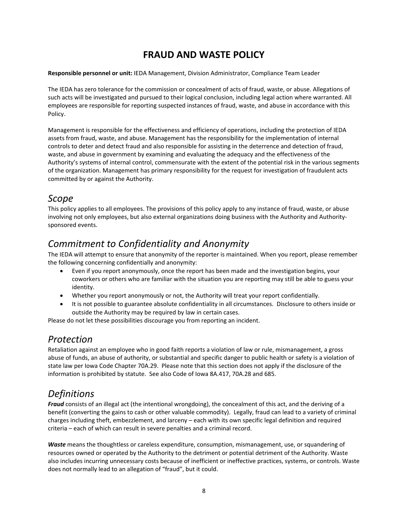## **FRAUD AND WASTE POLICY**

**Responsible personnel or unit:** IEDA Management, Division Administrator, Compliance Team Leader

The IEDA has zero tolerance for the commission or concealment of acts of fraud, waste, or abuse. Allegations of such acts will be investigated and pursued to their logical conclusion, including legal action where warranted. All employees are responsible for reporting suspected instances of fraud, waste, and abuse in accordance with this Policy.

Management is responsible for the effectiveness and efficiency of operations, including the protection of IEDA assets from fraud, waste, and abuse. Management has the responsibility for the implementation of internal controls to deter and detect fraud and also responsible for assisting in the deterrence and detection of fraud, waste, and abuse in government by examining and evaluating the adequacy and the effectiveness of the Authority's systems of internal control, commensurate with the extent of the potential risk in the various segments of the organization. Management has primary responsibility for the request for investigation of fraudulent acts committed by or against the Authority.

### *Scope*

This policy applies to all employees. The provisions of this policy apply to any instance of fraud, waste, or abuse involving not only employees, but also external organizations doing business with the Authority and Authoritysponsored events.

### *Commitment to Confidentiality and Anonymity*

The IEDA will attempt to ensure that anonymity of the reporter is maintained. When you report, please remember the following concerning confidentially and anonymity:

- Even if you report anonymously, once the report has been made and the investigation begins, your coworkers or others who are familiar with the situation you are reporting may still be able to guess your identity.
- Whether you report anonymously or not, the Authority will treat your report confidentially.
- It is not possible to guarantee absolute confidentiality in all circumstances. Disclosure to others inside or outside the Authority may be required by law in certain cases.

Please do not let these possibilities discourage you from reporting an incident.

### *Protection*

Retaliation against an employee who in good faith reports a violation of law or rule, mismanagement, a gross abuse of funds, an abuse of authority, or substantial and specific danger to public health or safety is a violation of state law per Iowa Code Chapter 70A.29. Please note that this section does not apply if the disclosure of the information is prohibited by statute. See also Code of Iowa 8A.417, 70A.28 and 685.

# *Definitions*

*Fraud* consists of an illegal act (the intentional wrongdoing), the concealment of this act, and the deriving of a benefit (converting the gains to cash or other valuable commodity). Legally, fraud can lead to a variety of criminal charges including theft, embezzlement, and larceny – each with its own specific legal definition and required criteria – each of which can result in severe penalties and a criminal record.

*Waste* means the thoughtless or careless expenditure, consumption, mismanagement, use, or squandering of resources owned or operated by the Authority to the detriment or potential detriment of the Authority. Waste also includes incurring unnecessary costs because of inefficient or ineffective practices, systems, or controls. Waste does not normally lead to an allegation of "fraud", but it could.